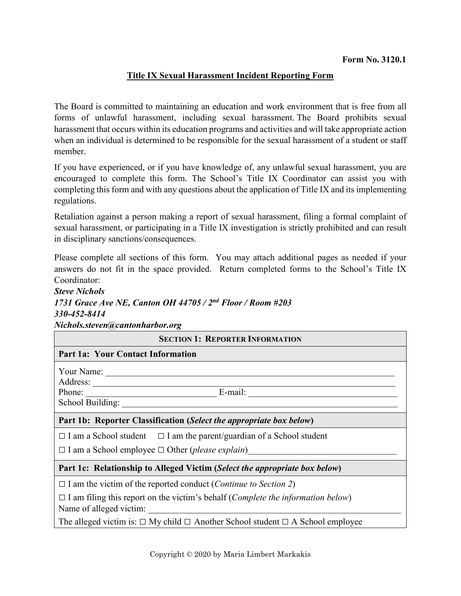#### **Title IX Sexual Harassment Incident Reporting Form**

The Board is committed to maintaining an education and work environment that is free from all forms of unlawful harassment, including sexual harassment. The Board prohibits sexual harassment that occurs within its education programs and activities and will take appropriate action when an individual is determined to be responsible for the sexual harassment of a student or staff member.

If you have experienced, or if you have knowledge of, any unlawful sexual harassment, you are encouraged to complete this form. The School's Title IX Coordinator can assist you with completing this form and with any questions about the application of Title IX and its implementing regulations.

Retaliation against a person making a report of sexual harassment, filing a formal complaint of sexual harassment, or participating in a Title IX investigation is strictly prohibited and can result in disciplinary sanctions/consequences.

Please complete all sections of this form. You may attach additional pages as needed if your answers do not fit in the space provided. Return completed forms to the School's Title IX Coordinator:

# *Steve Nichols 1731 Grace Ave NE, Canton OH 44705 / 2nd Floor / Room #203 330-452-8414*

*Nichols.steven@cantonharbor.org*

| <b>SECTION 1: REPORTER INFORMATION</b>                                                                                                                                                                                                                                                                                        |
|-------------------------------------------------------------------------------------------------------------------------------------------------------------------------------------------------------------------------------------------------------------------------------------------------------------------------------|
| <b>Part 1a: Your Contact Information</b>                                                                                                                                                                                                                                                                                      |
| Address:<br>$E$ -mail: $\frac{1}{2}$ = $\frac{1}{2}$ = $\frac{1}{2}$ = $\frac{1}{2}$ = $\frac{1}{2}$ = $\frac{1}{2}$ = $\frac{1}{2}$ = $\frac{1}{2}$ = $\frac{1}{2}$ = $\frac{1}{2}$ = $\frac{1}{2}$ = $\frac{1}{2}$ = $\frac{1}{2}$ = $\frac{1}{2}$ = $\frac{1}{2}$ = $\frac{1}{2}$ = $\frac{1}{2}$ = $\frac{1}{2$<br>Phone: |
| Part 1b: Reporter Classification (Select the appropriate box below)                                                                                                                                                                                                                                                           |
| $\Box$ I am a School student $\Box$ I am the parent/guardian of a School student<br>$\Box$ I am a School employee $\Box$ Other ( <i>please explain</i> )                                                                                                                                                                      |
| Part 1c: Relationship to Alleged Victim (Select the appropriate box below)                                                                                                                                                                                                                                                    |
| $\Box$ I am the victim of the reported conduct ( <i>Continue to Section 2</i> )                                                                                                                                                                                                                                               |
| $\Box$ I am filing this report on the victim's behalf ( <i>Complete the information below</i> )<br>Name of alleged victim:                                                                                                                                                                                                    |
| The alleged victim is: $\Box$ My child $\Box$ Another School student $\Box$ A School employee                                                                                                                                                                                                                                 |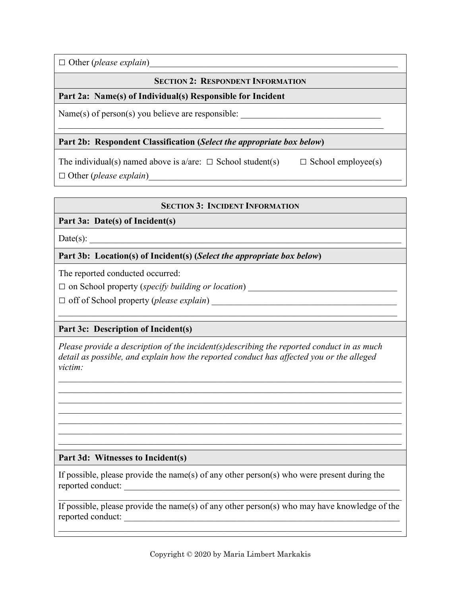$\Box$  Other (*please explain*)

#### **SECTION 2: RESPONDENT INFORMATION**

 $\mathcal{L}_\text{G}$  , and the contribution of the contribution of the contribution of the contribution of the contribution of the contribution of the contribution of the contribution of the contribution of the contribution of t

## **Part 2a: Name(s) of Individual(s) Responsible for Incident**

 $Name(s)$  of person(s) you believe are responsible:

#### **Part 2b: Respondent Classification (***Select the appropriate box below***)**

The individual(s) named above is a/are:  $\Box$  School student(s)  $\Box$  School employee(s)  $\Box$  Other (*please explain*)

**SECTION 3: INCIDENT INFORMATION**

#### **Part 3a: Date(s) of Incident(s)**

Date(s): \_\_\_\_\_\_\_\_\_\_\_\_\_\_\_\_\_\_\_\_\_\_\_\_\_\_\_\_\_\_\_\_\_\_\_\_\_\_\_\_\_\_\_\_\_\_\_\_\_\_\_\_\_\_\_\_\_\_\_\_\_\_\_\_\_\_\_\_\_

**Part 3b: Location(s) of Incident(s) (***Select the appropriate box below***)**

The reported conducted occurred:

□ on School property (*specify building or location*) \_\_\_\_\_\_\_\_\_\_\_\_\_\_\_\_\_\_\_\_\_\_\_\_\_\_\_\_\_\_\_\_\_

 $\Box$  off of School property (*please explain*)

### **Part 3c: Description of Incident(s)**

*Please provide a description of the incident(s)describing the reported conduct in as much detail as possible, and explain how the reported conduct has affected you or the alleged victim:*

\_\_\_\_\_\_\_\_\_\_\_\_\_\_\_\_\_\_\_\_\_\_\_\_\_\_\_\_\_\_\_\_\_\_\_\_\_\_\_\_\_\_\_\_\_\_\_\_\_\_\_\_\_\_\_\_\_\_\_\_\_\_\_\_\_\_\_\_\_\_\_\_\_\_\_\_

\_\_\_\_\_\_\_\_\_\_\_\_\_\_\_\_\_\_\_\_\_\_\_\_\_\_\_\_\_\_\_\_\_\_\_\_\_\_\_\_\_\_\_\_\_\_\_\_\_\_\_\_\_\_\_\_\_\_\_\_\_\_\_\_\_\_\_\_\_\_\_\_\_\_\_\_

\_\_\_\_\_\_\_\_\_\_\_\_\_\_\_\_\_\_\_\_\_\_\_\_\_\_\_\_\_\_\_\_\_\_\_\_\_\_\_\_\_\_\_\_\_\_\_\_\_\_\_\_\_\_\_\_\_\_\_\_\_\_\_\_\_\_\_\_\_\_\_\_\_\_\_\_ \_\_\_\_\_\_\_\_\_\_\_\_\_\_\_\_\_\_\_\_\_\_\_\_\_\_\_\_\_\_\_\_\_\_\_\_\_\_\_\_\_\_\_\_\_\_\_\_\_\_\_\_\_\_\_\_\_\_\_\_\_\_\_\_\_\_\_\_\_\_\_\_\_\_\_\_

\_\_\_\_\_\_\_\_\_\_\_\_\_\_\_\_\_\_\_\_\_\_\_\_\_\_\_\_\_\_\_\_\_\_\_\_\_\_\_\_\_\_\_\_\_\_\_\_\_\_\_\_\_\_\_\_\_\_\_\_\_\_\_\_\_\_\_\_\_\_\_\_\_\_\_

### **Part 3d: Witnesses to Incident(s)**

If possible, please provide the name(s) of any other person(s) who were present during the reported conduct:

If possible, please provide the name(s) of any other person(s) who may have knowledge of the reported conduct:

\_\_\_\_\_\_\_\_\_\_\_\_\_\_\_\_\_\_\_\_\_\_\_\_\_\_\_\_\_\_\_\_\_\_\_\_\_\_\_\_\_\_\_\_\_\_\_\_\_\_\_\_\_\_\_\_\_\_\_\_\_\_\_\_\_\_\_\_\_\_\_\_\_\_\_\_